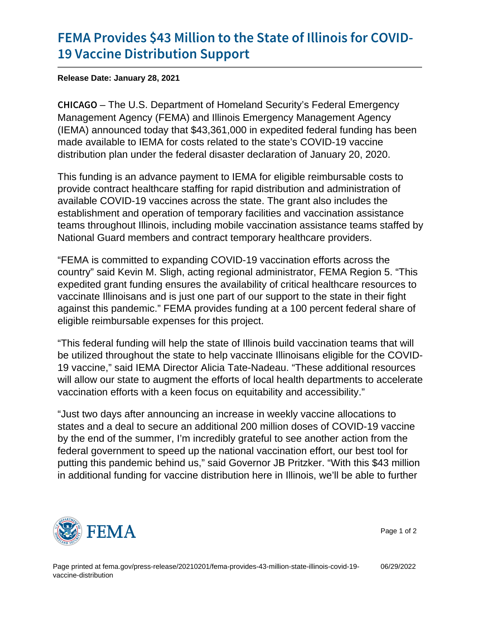## [FEMA Provides \\$43 Million to the S](https://www.fema.gov/press-release/20210201/fema-provides-43-million-state-illinois-covid-19-vaccine-distribution)tate of [19 Vaccine Distribu](https://www.fema.gov/press-release/20210201/fema-provides-43-million-state-illinois-covid-19-vaccine-distribution)tion Support

Release Date: January 28, 2021

C H I C A GIO U.S. Department of Homeland Security's Federal Emergency Management Agency (FEMA) and Illinois Emergency Management Agency (IEMA) announced today that \$43,361,000 in expedited federal funding has been made available to IEMA for costs related to the state's COVID-19 vaccine distribution plan under the federal disaster declaration of January 20, 2020.

This funding is an advance payment to IEMA for eligible reimbursable costs to provide contract healthcare staffing for rapid distribution and administration of available COVID-19 vaccines across the state. The grant also includes the establishment and operation of temporary facilities and vaccination assistance teams throughout Illinois, including mobile vaccination assistance teams staffed by National Guard members and contract temporary healthcare providers.

"FEMA is committed to expanding COVID-19 vaccination efforts across the country" said Kevin M. Sligh, acting regional administrator, FEMA Region 5. "This expedited grant funding ensures the availability of critical healthcare resources to vaccinate Illinoisans and is just one part of our support to the state in their fight against this pandemic." FEMA provides funding at a 100 percent federal share of eligible reimbursable expenses for this project.

"This federal funding will help the state of Illinois build vaccination teams that will be utilized throughout the state to help vaccinate Illinoisans eligible for the COVID-19 vaccine," said IEMA Director Alicia Tate-Nadeau. "These additional resources will allow our state to augment the efforts of local health departments to accelerate vaccination efforts with a keen focus on equitability and accessibility."

"Just two days after announcing an increase in weekly vaccine allocations to states and a deal to secure an additional 200 million doses of COVID-19 vaccine by the end of the summer, I'm incredibly grateful to see another action from the federal government to speed up the national vaccination effort, our best tool for putting this pandemic behind us," said Governor JB Pritzker. "With this \$43 million in additional funding for vaccine distribution here in Illinois, we'll be able to further



Page 1 of 2